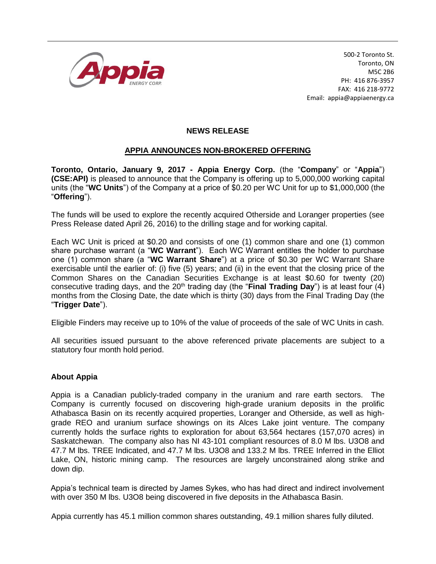

500-2 Toronto St. Toronto, ON M5C 2B6 PH: 416 876-3957 FAX: 416 218-9772 Email: appia@appiaenergy.ca

## **NEWS RELEASE**

## **APPIA ANNOUNCES NON-BROKERED OFFERING**

**Toronto, Ontario, January 9, 2017 - Appia Energy Corp.** (the "**Company**" or "**Appia**") **(CSE:API)** is pleased to announce that the Company is offering up to 5,000,000 working capital units (the "**WC Units**") of the Company at a price of \$0.20 per WC Unit for up to \$1,000,000 (the "**Offering**").

The funds will be used to explore the recently acquired Otherside and Loranger properties (see Press Release dated April 26, 2016) to the drilling stage and for working capital.

Each WC Unit is priced at \$0.20 and consists of one (1) common share and one (1) common share purchase warrant (a "**WC Warrant**"). Each WC Warrant entitles the holder to purchase one (1) common share (a "**WC Warrant Share**") at a price of \$0.30 per WC Warrant Share exercisable until the earlier of: (i) five (5) years; and (ii) in the event that the closing price of the Common Shares on the Canadian Securities Exchange is at least \$0.60 for twenty (20) consecutive trading days, and the 20<sup>th</sup> trading day (the "**Final Trading Day**") is at least four (4) months from the Closing Date, the date which is thirty (30) days from the Final Trading Day (the "**Trigger Date**").

Eligible Finders may receive up to 10% of the value of proceeds of the sale of WC Units in cash.

All securities issued pursuant to the above referenced private placements are subject to a statutory four month hold period.

## **About Appia**

Appia is a Canadian publicly-traded company in the uranium and rare earth sectors. The Company is currently focused on discovering high-grade uranium deposits in the prolific Athabasca Basin on its recently acquired properties, Loranger and Otherside, as well as highgrade REO and uranium surface showings on its Alces Lake joint venture. The company currently holds the surface rights to exploration for about 63,564 hectares (157,070 acres) in Saskatchewan. The company also has NI 43-101 compliant resources of 8.0 M lbs. U3O8 and 47.7 M lbs. TREE Indicated, and 47.7 M lbs. U3O8 and 133.2 M lbs. TREE Inferred in the Elliot Lake, ON, historic mining camp. The resources are largely unconstrained along strike and down dip.

Appia's technical team is directed by James Sykes, who has had direct and indirect involvement with over 350 M lbs. U3O8 being discovered in five deposits in the Athabasca Basin.

Appia currently has 45.1 million common shares outstanding, 49.1 million shares fully diluted.